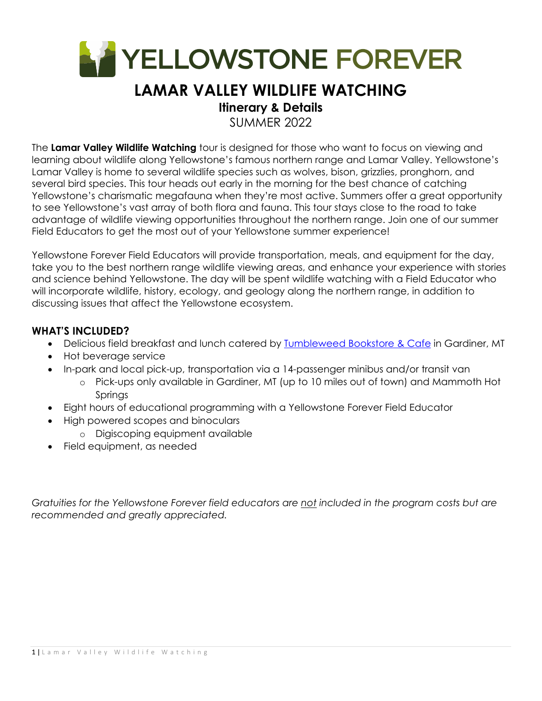

# **LAMAR VALLEY WILDLIFE WATCHING**

### **Itinerary & Details**

SUMMER 2022

The **Lamar Valley Wildlife Watching** tour is designed for those who want to focus on viewing and learning about wildlife along Yellowstone's famous northern range and Lamar Valley. Yellowstone's Lamar Valley is home to several wildlife species such as wolves, bison, grizzlies, pronghorn, and several bird species. This tour heads out early in the morning for the best chance of catching Yellowstone's charismatic megafauna when they're most active. Summers offer a great opportunity to see Yellowstone's vast array of both flora and fauna. This tour stays close to the road to take advantage of wildlife viewing opportunities throughout the northern range. Join one of our summer Field Educators to get the most out of your Yellowstone summer experience!

Yellowstone Forever Field Educators will provide transportation, meals, and equipment for the day, take you to the best northern range wildlife viewing areas, and enhance your experience with stories and science behind Yellowstone. The day will be spent wildlife watching with a Field Educator who will incorporate wildlife, history, ecology, and geology along the northern range, in addition to discussing issues that affect the Yellowstone ecosystem.

#### **WHAT'S INCLUDED?**

- Delicious field breakfast and lunch catered by Tumbleweed Bookstore & Cafe in Gardiner, MT
- Hot beverage service
- In-park and local pick-up, transportation via a 14-passenger minibus and/or transit van
	- o Pick-ups only available in Gardiner, MT (up to 10 miles out of town) and Mammoth Hot Springs
- Eight hours of educational programming with a Yellowstone Forever Field Educator
- High powered scopes and binoculars
	- o Digiscoping equipment available
- Field equipment, as needed

*Gratuities for the Yellowstone Forever field educators are not included in the program costs but are recommended and greatly appreciated.*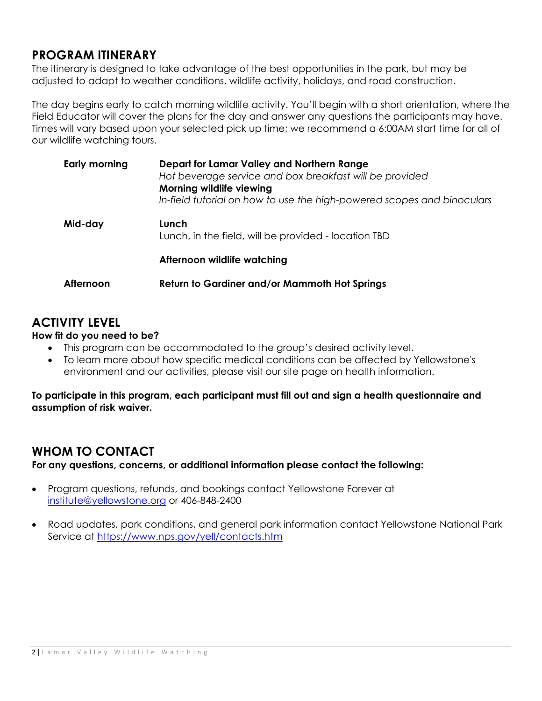### **PROGRAM ITINERARY**

The itinerary is designed to take advantage of the best opportunities in the park, but may be adjusted to adapt to weather conditions, wildlife activity, holidays, and road construction.

The day begins early to catch morning wildlife activity. You'll begin with a short orientation, where the Field Educator will cover the plans for the day and answer any questions the participants may have. Times will vary based upon your selected pick up time; we recommend a 6:00AM start time for all of our wildlife watching tours.

| Early morning | Depart for Lamar Valley and Northern Range<br>Hot beverage service and box breakfast will be provided<br>Morning wildlife viewing<br>In-field tutorial on how to use the high-powered scopes and binoculars |
|---------------|-------------------------------------------------------------------------------------------------------------------------------------------------------------------------------------------------------------|
| Mid-day       | Lunch<br>Lunch, in the field, will be provided - location TBD                                                                                                                                               |
|               | Afternoon wildlife watching                                                                                                                                                                                 |
| Afternoon     | <b>Return to Gardiner and/or Mammoth Hot Springs</b>                                                                                                                                                        |

## **ACTIVITY LEVEL**

#### **How fit do you need to be?**

- This program can be accommodated to the group's desired activity level.
- To learn more about how specific medical conditions can be affected by Yellowstone's environment and our activities, please visit our site page on health information.

**To participate in this program, each participant must fill out and sign a health questionnaire and assumption of risk waiver.** 

### **WHOM TO CONTACT**

**For any questions, concerns, or additional information please contact the following:** 

- Program questions, refunds, and bookings contact Yellowstone Forever at institute@yellowstone.org or 406-848-2400
- Road updates, park conditions, and general park information contact Yellowstone National Park Service at https://www.nps.gov/yell/contacts.htm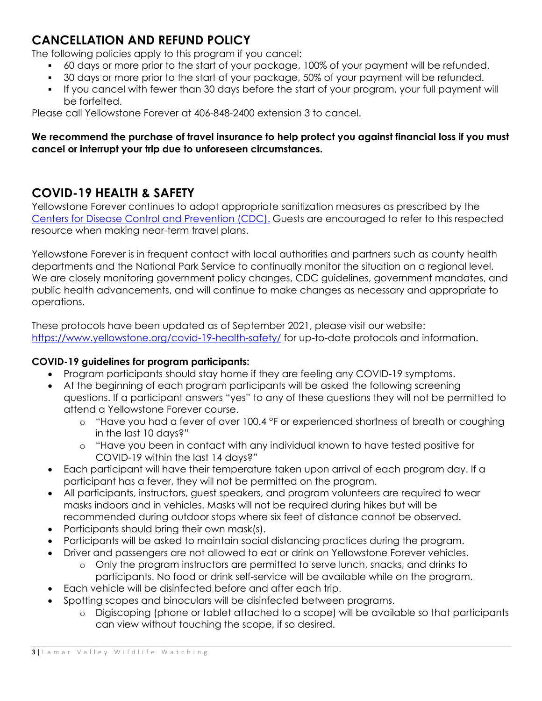## **CANCELLATION AND REFUND POLICY**

The following policies apply to this program if you cancel:

- 60 days or more prior to the start of your package, 100% of your payment will be refunded.
- 30 days or more prior to the start of your package, 50% of your payment will be refunded.
- If you cancel with fewer than 30 days before the start of your program, your full payment will be forfeited.

Please call Yellowstone Forever at 406-848-2400 extension 3 to cancel.

#### **We recommend the purchase of travel insurance to help protect you against financial loss if you must cancel or interrupt your trip due to unforeseen circumstances.**

## **COVID-19 HEALTH & SAFETY**

Yellowstone Forever continues to adopt appropriate sanitization measures as prescribed by the Centers for Disease Control and Prevention (CDC). Guests are encouraged to refer to this respected resource when making near-term travel plans.

Yellowstone Forever is in frequent contact with local authorities and partners such as county health departments and the National Park Service to continually monitor the situation on a regional level. We are closely monitoring government policy changes, CDC guidelines, government mandates, and public health advancements, and will continue to make changes as necessary and appropriate to operations.

These protocols have been updated as of September 2021, please visit our website: https://www.yellowstone.org/covid-19-health-safety/ for up-to-date protocols and information.

#### **COVID-19 guidelines for program participants:**

- Program participants should stay home if they are feeling any COVID-19 symptoms.
- At the beginning of each program participants will be asked the following screening questions. If a participant answers "yes" to any of these questions they will not be permitted to attend a Yellowstone Forever course.
	- o "Have you had a fever of over 100.4 °F or experienced shortness of breath or coughing in the last 10 days?"
	- o "Have you been in contact with any individual known to have tested positive for COVID-19 within the last 14 days?"
- Each participant will have their temperature taken upon arrival of each program day. If a participant has a fever, they will not be permitted on the program.
- All participants, instructors, guest speakers, and program volunteers are required to wear masks indoors and in vehicles. Masks will not be required during hikes but will be recommended during outdoor stops where six feet of distance cannot be observed.
- Participants should bring their own mask(s).
- Participants will be asked to maintain social distancing practices during the program.
- Driver and passengers are not allowed to eat or drink on Yellowstone Forever vehicles.
	- o Only the program instructors are permitted to serve lunch, snacks, and drinks to participants. No food or drink self-service will be available while on the program.
- Each vehicle will be disinfected before and after each trip.
- Spotting scopes and binoculars will be disinfected between programs.
	- o Digiscoping (phone or tablet attached to a scope) will be available so that participants can view without touching the scope, if so desired.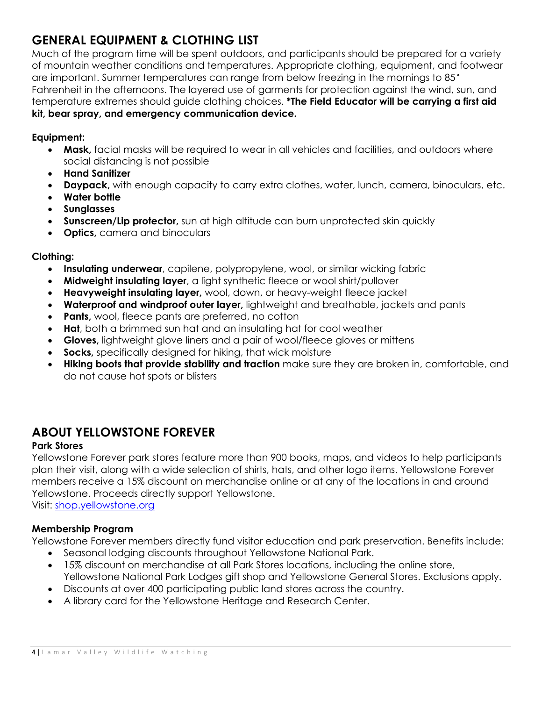## **GENERAL EQUIPMENT & CLOTHING LIST**

Much of the program time will be spent outdoors, and participants should be prepared for a variety of mountain weather conditions and temperatures. Appropriate clothing, equipment, and footwear are important. Summer temperatures can range from below freezing in the mornings to 85° Fahrenheit in the afternoons. The layered use of garments for protection against the wind, sun, and temperature extremes should guide clothing choices. **\*The Field Educator will be carrying a first aid kit, bear spray, and emergency communication device.**

#### **Equipment:**

- **Mask,** facial masks will be required to wear in all vehicles and facilities, and outdoors where social distancing is not possible
- **Hand Sanitizer**
- **Daypack,** with enough capacity to carry extra clothes, water, lunch, camera, binoculars, etc.
- **Water bottle**
- **Sunglasses**
- **Sunscreen/Lip protector,** sun at high altitude can burn unprotected skin quickly
- **Optics,** camera and binoculars

#### **Clothing:**

- **Insulating underwear**, capilene, polypropylene, wool, or similar wicking fabric
- **Midweight insulating layer**, a light synthetic fleece or wool shirt/pullover
- **Heavyweight insulating layer,** wool, down, or heavy-weight fleece jacket
- **Waterproof and windproof outer layer,** lightweight and breathable, jackets and pants
- **Pants,** wool, fleece pants are preferred, no cotton
- **Hat**, both a brimmed sun hat and an insulating hat for cool weather
- **Gloves,** lightweight glove liners and a pair of wool/fleece gloves or mittens
- **Socks,** specifically designed for hiking, that wick moisture
- **Hiking boots that provide stability and traction** make sure they are broken in, comfortable, and do not cause hot spots or blisters

#### **ABOUT YELLOWSTONE FOREVER**

#### **Park Stores**

Yellowstone Forever park stores feature more than 900 books, maps, and videos to help participants plan their visit, along with a wide selection of shirts, hats, and other logo items. Yellowstone Forever members receive a 15% discount on merchandise online or at any of the locations in and around Yellowstone. Proceeds directly support Yellowstone.

Visit: shop.yellowstone.org

#### **Membership Program**

Yellowstone Forever members directly fund visitor education and park preservation. Benefits include:

- Seasonal lodging discounts throughout Yellowstone National Park.
- 15% discount on merchandise at all Park Stores locations, including the online store, Yellowstone National Park Lodges gift shop and Yellowstone General Stores. Exclusions apply.
- Discounts at over 400 participating public land stores across the country.
- A library card for the Yellowstone Heritage and Research Center.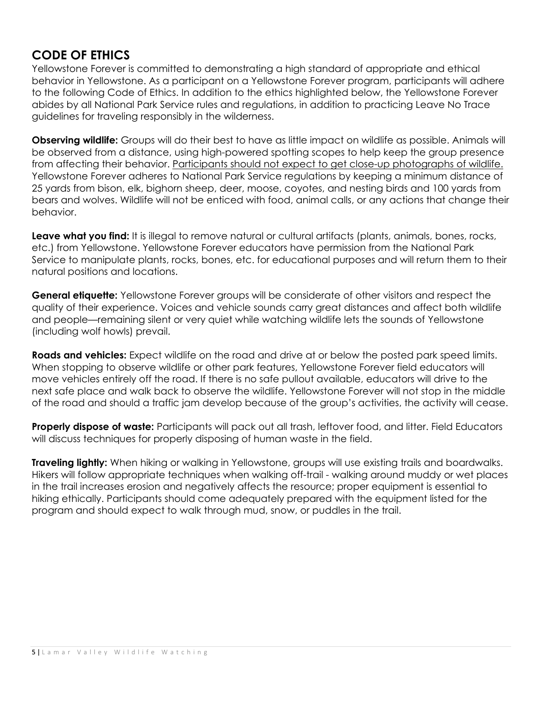### **CODE OF ETHICS**

Yellowstone Forever is committed to demonstrating a high standard of appropriate and ethical behavior in Yellowstone. As a participant on a Yellowstone Forever program, participants will adhere to the following Code of Ethics. In addition to the ethics highlighted below, the Yellowstone Forever abides by all National Park Service rules and regulations, in addition to practicing Leave No Trace guidelines for traveling responsibly in the wilderness.

**Observing wildlife:** Groups will do their best to have as little impact on wildlife as possible. Animals will be observed from a distance, using high-powered spotting scopes to help keep the group presence from affecting their behavior. Participants should not expect to get close-up photographs of wildlife. Yellowstone Forever adheres to National Park Service regulations by keeping a minimum distance of 25 yards from bison, elk, bighorn sheep, deer, moose, coyotes, and nesting birds and 100 yards from bears and wolves. Wildlife will not be enticed with food, animal calls, or any actions that change their behavior.

**Leave what you find:** It is illegal to remove natural or cultural artifacts (plants, animals, bones, rocks, etc.) from Yellowstone. Yellowstone Forever educators have permission from the National Park Service to manipulate plants, rocks, bones, etc. for educational purposes and will return them to their natural positions and locations.

**General etiquette:** Yellowstone Forever groups will be considerate of other visitors and respect the quality of their experience. Voices and vehicle sounds carry great distances and affect both wildlife and people—remaining silent or very quiet while watching wildlife lets the sounds of Yellowstone (including wolf howls) prevail.

**Roads and vehicles:** Expect wildlife on the road and drive at or below the posted park speed limits. When stopping to observe wildlife or other park features, Yellowstone Forever field educators will move vehicles entirely off the road. If there is no safe pullout available, educators will drive to the next safe place and walk back to observe the wildlife. Yellowstone Forever will not stop in the middle of the road and should a traffic jam develop because of the group's activities, the activity will cease.

**Properly dispose of waste:** Participants will pack out all trash, leftover food, and litter. Field Educators will discuss techniques for properly disposing of human waste in the field.

**Traveling lightly:** When hiking or walking in Yellowstone, groups will use existing trails and boardwalks. Hikers will follow appropriate techniques when walking off-trail - walking around muddy or wet places in the trail increases erosion and negatively affects the resource; proper equipment is essential to hiking ethically. Participants should come adequately prepared with the equipment listed for the program and should expect to walk through mud, snow, or puddles in the trail.